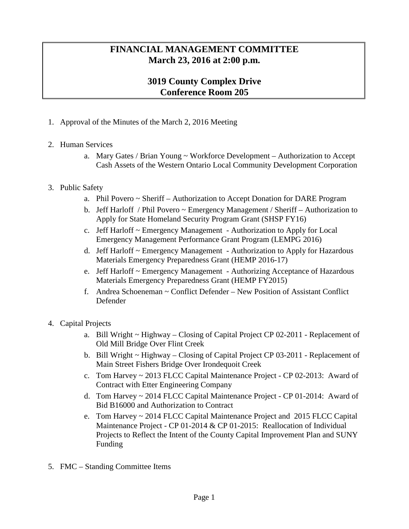## **FINANCIAL MANAGEMENT COMMITTEE March 23, 2016 at 2:00 p.m.**

## **3019 County Complex Drive Conference Room 205**

- 1. Approval of the Minutes of the March 2, 2016 Meeting
- 2. Human Services
	- a. Mary Gates / Brian Young ~ Workforce Development Authorization to Accept Cash Assets of the Western Ontario Local Community Development Corporation

## 3. Public Safety

- a. Phil Povero ~ Sheriff Authorization to Accept Donation for DARE Program
- b. Jeff Harloff / Phil Povero  $\sim$  Emergency Management / Sheriff Authorization to Apply for State Homeland Security Program Grant (SHSP FY16)
- c. Jeff Harloff ~ Emergency Management Authorization to Apply for Local Emergency Management Performance Grant Program (LEMPG 2016)
- d. Jeff Harloff ~ Emergency Management Authorization to Apply for Hazardous Materials Emergency Preparedness Grant (HEMP 2016-17)
- e. Jeff Harloff ~ Emergency Management Authorizing Acceptance of Hazardous Materials Emergency Preparedness Grant (HEMP FY2015)
- f. Andrea Schoeneman ~ Conflict Defender New Position of Assistant Conflict Defender
- 4. Capital Projects
	- a. Bill Wright ~ Highway Closing of Capital Project CP 02-2011 Replacement of Old Mill Bridge Over Flint Creek
	- b. Bill Wright ~ Highway Closing of Capital Project CP 03-2011 Replacement of Main Street Fishers Bridge Over Irondequoit Creek
	- c. Tom Harvey ~ 2013 FLCC Capital Maintenance Project CP 02-2013: Award of Contract with Etter Engineering Company
	- d. Tom Harvey ~ 2014 FLCC Capital Maintenance Project CP 01-2014: Award of Bid B16000 and Authorization to Contract
	- e. Tom Harvey ~ 2014 FLCC Capital Maintenance Project and 2015 FLCC Capital Maintenance Project - CP 01-2014 & CP 01-2015: Reallocation of Individual Projects to Reflect the Intent of the County Capital Improvement Plan and SUNY Funding
- 5. FMC Standing Committee Items